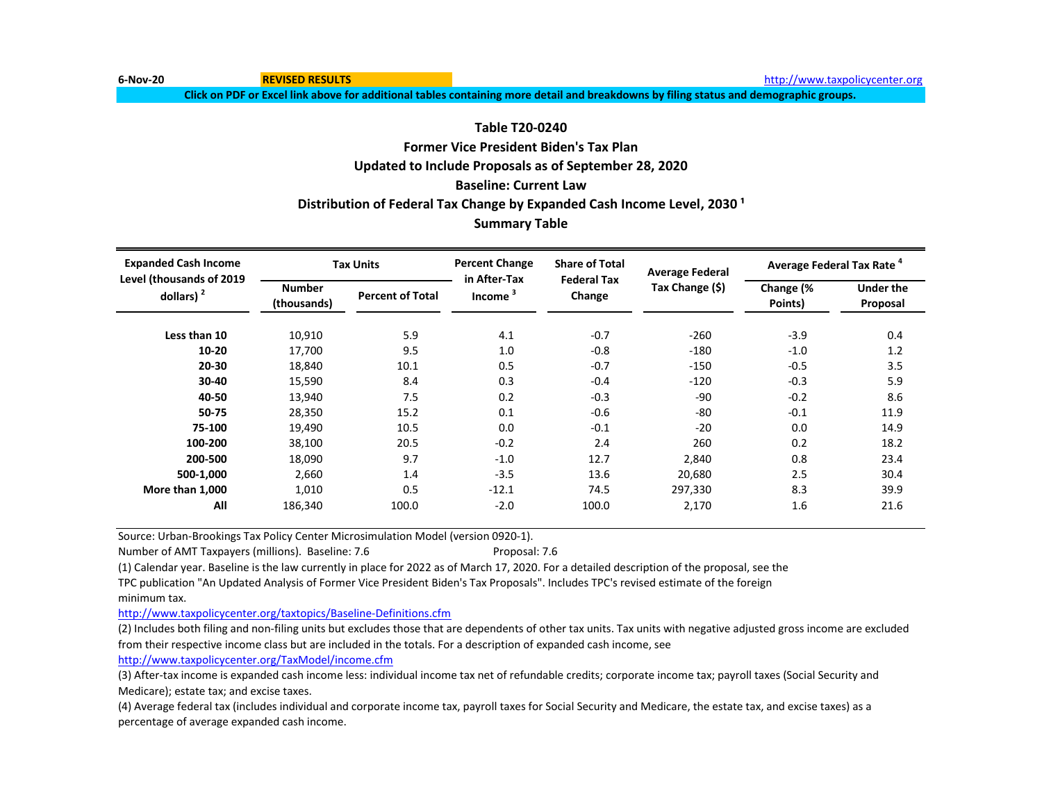**6-Nov-20 REVISED RESULTS REVISED RESULTS REVISED RESULTS REVISED RESULTS REVISED RESULTS** *REVISED* **REVISED RESULTS** *REVISED REVISED REVISED REVISED REVISED REVISED REVISED REVIS* 

**Click on PDF or Excel link above for additional tables containing more detail and breakdowns by filing status and demographic groups.**

## **Table T20-0240**

# **Former Vice President Biden's Tax Plan Updated to Include Proposals as of September 28, 2020**

# **Baseline: Current Law**

Distribution of Federal Tax Change by Expanded Cash Income Level, 2030<sup>1</sup>

## **Summary Table**

| <b>Expanded Cash Income</b><br>Level (thousands of 2019 |                              | <b>Tax Units</b>        | <b>Percent Change</b><br>in After-Tax | <b>Share of Total</b>        | <b>Average Federal</b> | Average Federal Tax Rate <sup>4</sup> |                              |  |
|---------------------------------------------------------|------------------------------|-------------------------|---------------------------------------|------------------------------|------------------------|---------------------------------------|------------------------------|--|
| dollars) $2$                                            | <b>Number</b><br>(thousands) | <b>Percent of Total</b> | Income <sup>3</sup>                   | <b>Federal Tax</b><br>Change | Tax Change (\$)        | Change (%<br>Points)                  | <b>Under the</b><br>Proposal |  |
| Less than 10                                            | 10,910                       | 5.9                     | 4.1                                   | $-0.7$                       | $-260$                 | $-3.9$                                | 0.4                          |  |
| $10 - 20$                                               | 17,700                       | 9.5                     | 1.0                                   | $-0.8$                       | $-180$                 | $-1.0$                                | 1.2                          |  |
| 20-30                                                   | 18,840                       | 10.1                    | 0.5                                   | $-0.7$                       | $-150$                 | $-0.5$                                | 3.5                          |  |
| 30-40                                                   | 15,590                       | 8.4                     | 0.3                                   | $-0.4$                       | $-120$                 | $-0.3$                                | 5.9                          |  |
| 40-50                                                   | 13,940                       | 7.5                     | 0.2                                   | $-0.3$                       | $-90$                  | $-0.2$                                | 8.6                          |  |
| 50-75                                                   | 28,350                       | 15.2                    | 0.1                                   | $-0.6$                       | $-80$                  | $-0.1$                                | 11.9                         |  |
| 75-100                                                  | 19,490                       | 10.5                    | 0.0                                   | $-0.1$                       | $-20$                  | 0.0                                   | 14.9                         |  |
| 100-200                                                 | 38,100                       | 20.5                    | $-0.2$                                | 2.4                          | 260                    | 0.2                                   | 18.2                         |  |
| 200-500                                                 | 18,090                       | 9.7                     | $-1.0$                                | 12.7                         | 2,840                  | 0.8                                   | 23.4                         |  |
| 500-1,000                                               | 2,660                        | 1.4                     | $-3.5$                                | 13.6                         | 20,680                 | 2.5                                   | 30.4                         |  |
| More than 1,000                                         | 1,010                        | 0.5                     | $-12.1$                               | 74.5                         | 297,330                | 8.3                                   | 39.9                         |  |
| All                                                     | 186,340                      | 100.0                   | $-2.0$                                | 100.0                        | 2,170                  | 1.6                                   | 21.6                         |  |

Source: Urban-Brookings Tax Policy Center Microsimulation Model (version 0920-1).

Number of AMT Taxpayers (millions). Baseline: 7.6 Proposal: 7.6

(1) Calendar year. Baseline is the law currently in place for 2022 as of March 17, 2020. For a detailed description of the proposal, see the

TPC publication "An Updated Analysis of Former Vice President Biden's Tax Proposals". Includes TPC's revised estimate of the foreign minimum tax.

[http://www.taxpolicycente](http://www.taxpolicycenter.org/taxtopics/Baseline-Definitions.cfm)r.org/taxtopics/Baseline-Definitions.cfm

(2) Includes both filing and non-filing units but excludes those that are dependents of other tax units. Tax units with negative adjusted gross income are excluded from their respective income class but are included in the totals. For a description of expanded cash income, see

[http://www.taxpolicycente](http://www.taxpolicycenter.org/TaxModel/income.cfm)r.org/TaxModel/income.cfm

(3) After-tax income is expanded cash income less: individual income tax net of refundable credits; corporate income tax; payroll taxes (Social Security and Medicare); estate tax; and excise taxes.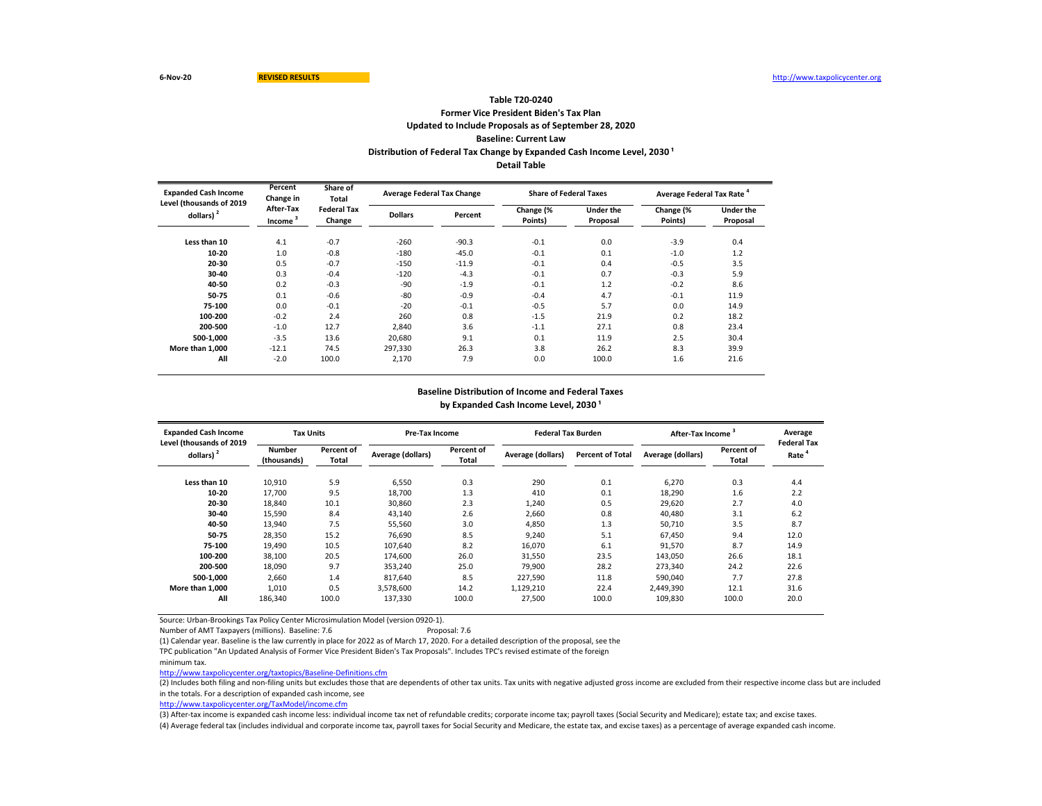## **Former Vice President Biden's Tax Plan Updated to Include Proposals as of September 28, 2020 Baseline: Current Law Table T20-0240 Distribution of Federal Tax Change by Expanded Cash Income Level, 2030<sup>1</sup> Detail Table**

| <b>Expanded Cash Income</b><br>Level (thousands of 2019 | Percent<br>Change in | Share of<br>Total            | <b>Average Federal Tax Change</b> |         | <b>Share of Federal Taxes</b> |                              | Average Federal Tax Rate <sup>4</sup> |                              |  |
|---------------------------------------------------------|----------------------|------------------------------|-----------------------------------|---------|-------------------------------|------------------------------|---------------------------------------|------------------------------|--|
| dollars)                                                | After-Tax<br>Income  | <b>Federal Tax</b><br>Change | <b>Dollars</b>                    | Percent | Change (%<br>Points)          | <b>Under the</b><br>Proposal | Change (%<br>Points)                  | <b>Under the</b><br>Proposal |  |
| Less than 10                                            | 4.1                  | $-0.7$                       | $-260$                            | $-90.3$ | $-0.1$                        | 0.0                          | $-3.9$                                | 0.4                          |  |
| 10-20                                                   | 1.0                  | $-0.8$                       | $-180$                            | $-45.0$ | $-0.1$                        | 0.1                          | $-1.0$                                | 1.2                          |  |
| 20-30                                                   | 0.5                  | $-0.7$                       | $-150$                            | $-11.9$ | $-0.1$                        | 0.4                          | $-0.5$                                | 3.5                          |  |
| 30-40                                                   | 0.3                  | $-0.4$                       | $-120$                            | $-4.3$  | $-0.1$                        | 0.7                          | $-0.3$                                | 5.9                          |  |
| 40-50                                                   | 0.2                  | $-0.3$                       | $-90$                             | $-1.9$  | $-0.1$                        | 1.2                          | $-0.2$                                | 8.6                          |  |
| 50-75                                                   | 0.1                  | $-0.6$                       | $-80$                             | $-0.9$  | $-0.4$                        | 4.7                          | $-0.1$                                | 11.9                         |  |
| 75-100                                                  | 0.0                  | $-0.1$                       | $-20$                             | $-0.1$  | $-0.5$                        | 5.7                          | 0.0                                   | 14.9                         |  |
| 100-200                                                 | $-0.2$               | 2.4                          | 260                               | 0.8     | $-1.5$                        | 21.9                         | 0.2                                   | 18.2                         |  |
| 200-500                                                 | $-1.0$               | 12.7                         | 2.840                             | 3.6     | $-1.1$                        | 27.1                         | 0.8                                   | 23.4                         |  |
| 500-1.000                                               | $-3.5$               | 13.6                         | 20.680                            | 9.1     | 0.1                           | 11.9                         | 2.5                                   | 30.4                         |  |
| More than 1,000                                         | $-12.1$              | 74.5                         | 297,330                           | 26.3    | 3.8                           | 26.2                         | 8.3                                   | 39.9                         |  |
| All                                                     | $-2.0$               | 100.0                        | 2,170                             | 7.9     | 0.0                           | 100.0                        | 1.6                                   | 21.6                         |  |

#### **Baseline Distribution of Income and Federal Taxes**

by Expanded Cash Income Level, 2030<sup>1</sup>

| <b>Expanded Cash Income</b><br>Level (thousands of 2019 | <b>Tax Units</b>             |                     | <b>Pre-Tax Income</b> |                     | <b>Federal Tax Burden</b> |                         | After-Tax Income  |                     | Average<br><b>Federal Tax</b> |
|---------------------------------------------------------|------------------------------|---------------------|-----------------------|---------------------|---------------------------|-------------------------|-------------------|---------------------|-------------------------------|
| dollars) <sup>2</sup>                                   | <b>Number</b><br>(thousands) | Percent of<br>Total | Average (dollars)     | Percent of<br>Total | Average (dollars)         | <b>Percent of Total</b> | Average (dollars) | Percent of<br>Total | Rate                          |
| Less than 10                                            | 10,910                       | 5.9                 | 6,550                 | 0.3                 | 290                       | 0.1                     | 6,270             | 0.3                 | 4.4                           |
| 10-20                                                   | 17,700                       | 9.5                 | 18,700                | 1.3                 | 410                       | 0.1                     | 18,290            | 1.6                 | 2.2                           |
| 20-30                                                   | 18,840                       | 10.1                | 30,860                | 2.3                 | 1,240                     | 0.5                     | 29.620            | 2.7                 | 4.0                           |
| 30-40                                                   | 15,590                       | 8.4                 | 43.140                | 2.6                 | 2,660                     | 0.8                     | 40.480            | 3.1                 | 6.2                           |
| 40-50                                                   | 13,940                       | 7.5                 | 55,560                | 3.0                 | 4,850                     | 1.3                     | 50.710            | 3.5                 | 8.7                           |
| 50-75                                                   | 28,350                       | 15.2                | 76,690                | 8.5                 | 9,240                     | 5.1                     | 67,450            | 9.4                 | 12.0                          |
| 75-100                                                  | 19,490                       | 10.5                | 107.640               | 8.2                 | 16,070                    | 6.1                     | 91,570            | 8.7                 | 14.9                          |
| 100-200                                                 | 38,100                       | 20.5                | 174.600               | 26.0                | 31,550                    | 23.5                    | 143,050           | 26.6                | 18.1                          |
| 200-500                                                 | 18,090                       | 9.7                 | 353,240               | 25.0                | 79.900                    | 28.2                    | 273,340           | 24.2                | 22.6                          |
| 500-1.000                                               | 2,660                        | 1.4                 | 817.640               | 8.5                 | 227,590                   | 11.8                    | 590,040           | 7.7                 | 27.8                          |
| More than 1.000                                         | 1,010                        | 0.5                 | 3,578,600             | 14.2                | 1,129,210                 | 22.4                    | 2,449,390         | 12.1                | 31.6                          |
| All                                                     | 186,340                      | 100.0               | 137,330               | 100.0               | 27,500                    | 100.0                   | 109.830           | 100.0               | 20.0                          |

Source: Urban-Brookings Tax Policy Center Microsimulation Model (version 0920-1).

Number of AMT Taxpayers (millions). Baseline: 7.6 Proposal: 7.6

(1) Calendar year. Baseline is the law currently in place for 2022 as of March 17, 2020. For a detailed description of the proposal, see the

TPC publication "An Updated Analysis of Former Vice President Biden's Tax Proposals". Includes TPC's revised estimate of the foreign

minimum tax.

<http://www.taxpolicycenter.org/taxtopics/Baseline-Definitions.cfm>

(2) Includes both filing and non-filing units but excludes those that are dependents of other tax units. Tax units with negative adjusted gross income are excluded from their respective income class but are included in the totals. For a description of expanded cash income, see

[http://www.taxpolicycente](http://www.taxpolicycenter.org/TaxModel/income.cfm)r.org/TaxModel/income.cfm

(3) After-tax income is expanded cash income less: individual income tax net of refundable credits; corporate income tax; payroll taxes (Social Security and Medicare); estate tax; and excise taxes. (4) Average federal tax (includes individual and corporate income tax, payroll taxes for Social Security and Medicare, the estate tax, and excise taxes) as a percentage of average expanded cash income.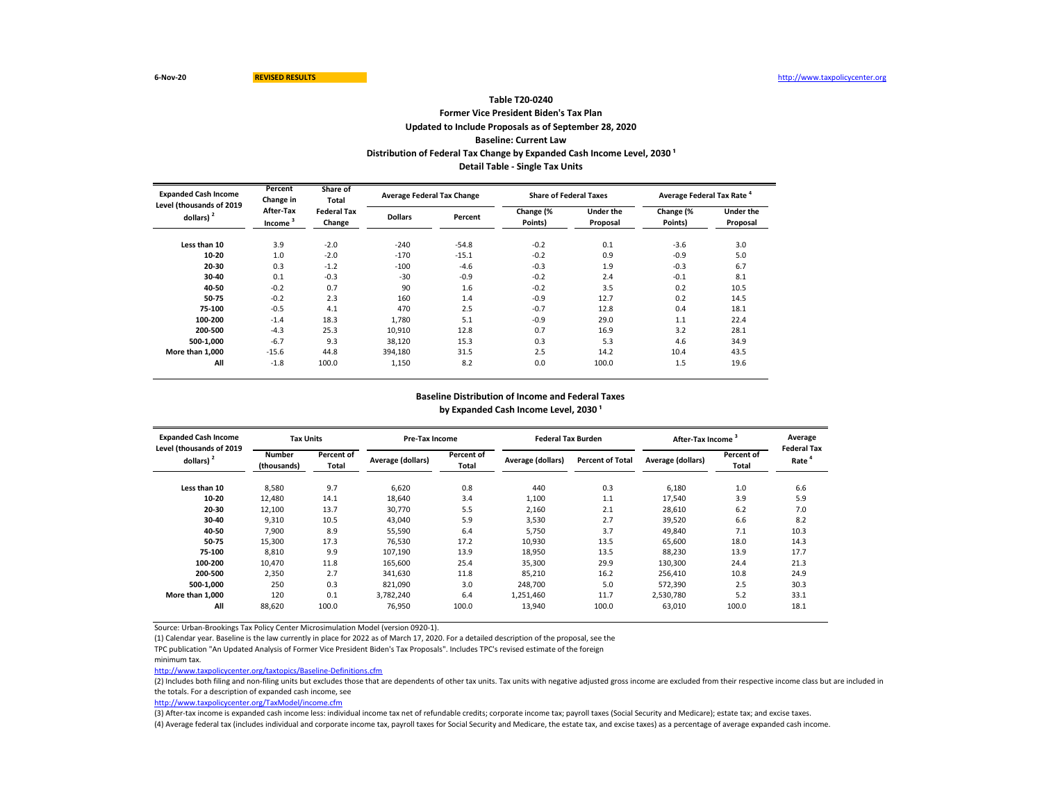## **Former Vice President Biden's Tax Plan Updated to Include Proposals as of September 28, 2020 Baseline: Current Law Table T20-0240** Distribution of Federal Tax Change by Expanded Cash Income Level, 2030<sup>1</sup> **Detail Table - Single Tax Units**

| <b>Expanded Cash Income</b><br>Level (thousands of 2019 | Percent<br>Change in             | Share of<br>Total            |                | <b>Average Federal Tax Change</b> | <b>Share of Federal Taxes</b> |                              | Average Federal Tax Rate <sup>4</sup> |                              |
|---------------------------------------------------------|----------------------------------|------------------------------|----------------|-----------------------------------|-------------------------------|------------------------------|---------------------------------------|------------------------------|
| dollars)                                                | After-Tax<br>Income <sup>3</sup> | <b>Federal Tax</b><br>Change | <b>Dollars</b> | Percent                           | Change (%<br>Points)          | <b>Under the</b><br>Proposal | Change (%<br>Points)                  | <b>Under the</b><br>Proposal |
| Less than 10                                            | 3.9                              | $-2.0$                       | $-240$         | $-54.8$                           | $-0.2$                        | 0.1                          | $-3.6$                                | 3.0                          |
| 10-20                                                   | 1.0                              | $-2.0$                       | $-170$         | $-15.1$                           | $-0.2$                        | 0.9                          | $-0.9$                                | 5.0                          |
| 20-30                                                   | 0.3                              | $-1.2$                       | $-100$         | $-4.6$                            | $-0.3$                        | 1.9                          | $-0.3$                                | 6.7                          |
| 30-40                                                   | 0.1                              | $-0.3$                       | $-30$          | $-0.9$                            | $-0.2$                        | 2.4                          | $-0.1$                                | 8.1                          |
| 40-50                                                   | $-0.2$                           | 0.7                          | 90             | 1.6                               | $-0.2$                        | 3.5                          | 0.2                                   | 10.5                         |
| 50-75                                                   | $-0.2$                           | 2.3                          | 160            | 1.4                               | $-0.9$                        | 12.7                         | 0.2                                   | 14.5                         |
| 75-100                                                  | $-0.5$                           | 4.1                          | 470            | 2.5                               | $-0.7$                        | 12.8                         | 0.4                                   | 18.1                         |
| 100-200                                                 | $-1.4$                           | 18.3                         | 1.780          | 5.1                               | $-0.9$                        | 29.0                         | 1.1                                   | 22.4                         |
| 200-500                                                 | $-4.3$                           | 25.3                         | 10.910         | 12.8                              | 0.7                           | 16.9                         | 3.2                                   | 28.1                         |
| 500-1.000                                               | $-6.7$                           | 9.3                          | 38,120         | 15.3                              | 0.3                           | 5.3                          | 4.6                                   | 34.9                         |
| More than 1,000                                         | $-15.6$                          | 44.8                         | 394,180        | 31.5                              | 2.5                           | 14.2                         | 10.4                                  | 43.5                         |
| All                                                     | $-1.8$                           | 100.0                        | 1,150          | 8.2                               | 0.0                           | 100.0                        | 1.5                                   | 19.6                         |

#### **Baseline Distribution of Income and Federal Taxes**

by Expanded Cash Income Level, 2030<sup>1</sup>

| <b>Expanded Cash Income</b><br>Level (thousands of 2019 | <b>Tax Units</b>             |                     | Pre-Tax Income    |                     | <b>Federal Tax Burden</b> |                         | <b>After-Tax Income</b> |                     | Average<br><b>Federal Tax</b> |
|---------------------------------------------------------|------------------------------|---------------------|-------------------|---------------------|---------------------------|-------------------------|-------------------------|---------------------|-------------------------------|
| dollars) <sup>2</sup>                                   | <b>Number</b><br>(thousands) | Percent of<br>Total | Average (dollars) | Percent of<br>Total | Average (dollars)         | <b>Percent of Total</b> | Average (dollars)       | Percent of<br>Total | Rate                          |
| Less than 10                                            | 8,580                        | 9.7                 | 6,620             | 0.8                 | 440                       | 0.3                     | 6,180                   | 1.0                 | 6.6                           |
| 10-20                                                   | 12,480                       | 14.1                | 18,640            | 3.4                 | 1,100                     | 1.1                     | 17.540                  | 3.9                 | 5.9                           |
| 20-30                                                   | 12,100                       | 13.7                | 30.770            | 5.5                 | 2,160                     | 2.1                     | 28.610                  | 6.2                 | 7.0                           |
| 30-40                                                   | 9,310                        | 10.5                | 43,040            | 5.9                 | 3,530                     | 2.7                     | 39,520                  | 6.6                 | 8.2                           |
| 40-50                                                   | 7,900                        | 8.9                 | 55,590            | 6.4                 | 5,750                     | 3.7                     | 49,840                  | 7.1                 | 10.3                          |
| 50-75                                                   | 15,300                       | 17.3                | 76,530            | 17.2                | 10,930                    | 13.5                    | 65,600                  | 18.0                | 14.3                          |
| 75-100                                                  | 8,810                        | 9.9                 | 107.190           | 13.9                | 18,950                    | 13.5                    | 88.230                  | 13.9                | 17.7                          |
| 100-200                                                 | 10.470                       | 11.8                | 165.600           | 25.4                | 35.300                    | 29.9                    | 130.300                 | 24.4                | 21.3                          |
| 200-500                                                 | 2,350                        | 2.7                 | 341.630           | 11.8                | 85.210                    | 16.2                    | 256,410                 | 10.8                | 24.9                          |
| 500-1.000                                               | 250                          | 0.3                 | 821,090           | 3.0                 | 248.700                   | 5.0                     | 572,390                 | 2.5                 | 30.3                          |
| More than 1.000                                         | 120                          | 0.1                 | 3,782,240         | 6.4                 | 1,251,460                 | 11.7                    | 2,530,780               | 5.2                 | 33.1                          |
| All                                                     | 88,620                       | 100.0               | 76,950            | 100.0               | 13,940                    | 100.0                   | 63.010                  | 100.0               | 18.1                          |

Source: Urban-Brookings Tax Policy Center Microsimulation Model (version 0920-1).

(1) Calendar year. Baseline is the law currently in place for 2022 as of March 17, 2020. For a detailed description of the proposal, see the

TPC publication "An Updated Analysis of Former Vice President Biden's Tax Proposals". Includes TPC's revised estimate of the foreign

minimum tax.

<http://www.taxpolicycenter.org/taxtopics/Baseline-Definitions.cfm>

(2) Includes both filing and non-filing units but excludes those that are dependents of other tax units. Tax units with negative adjusted gross income are excluded from their respective income class but are included in the totals. For a description of expanded cash income, see

[http://www.taxpolicycente](http://www.taxpolicycenter.org/TaxModel/income.cfm)r.org/TaxModel/income.cfm

(3) After-tax income is expanded cash income less: individual income tax net of refundable credits; corporate income tax; payroll taxes (Social Security and Medicare); estate tax; and excise taxes.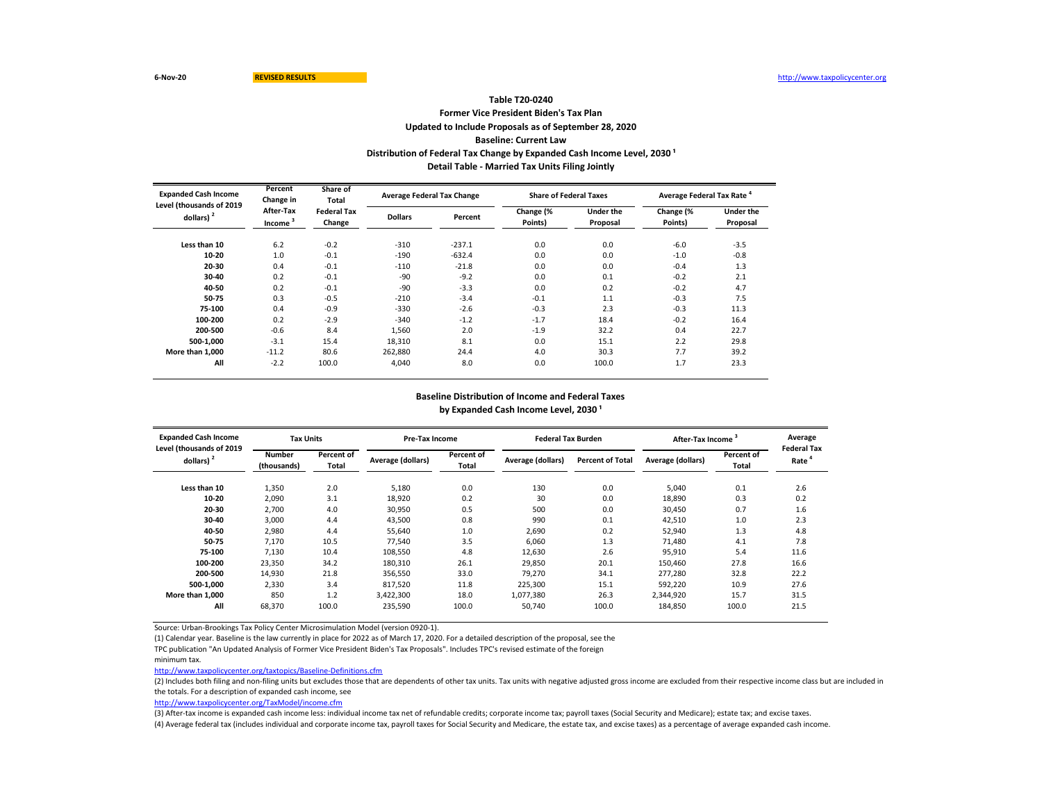## **Former Vice President Biden's Tax Plan Updated to Include Proposals as of September 28, 2020 Baseline: Current Law Table T20-0240** Distribution of Federal Tax Change by Expanded Cash Income Level, 2030<sup>1</sup> **Detail Table - Married Tax Units Filing Jointly**

| Percent<br>Share of<br><b>Expanded Cash Income</b><br>Change in<br>Total<br>Level (thousands of 2019 |                                                                                    |        | <b>Average Federal Tax Change</b> |                      | <b>Share of Federal Taxes</b> |                      | Average Federal Tax Rate <sup>4</sup> |        |  |
|------------------------------------------------------------------------------------------------------|------------------------------------------------------------------------------------|--------|-----------------------------------|----------------------|-------------------------------|----------------------|---------------------------------------|--------|--|
| dollars) $2$                                                                                         | After-Tax<br><b>Federal Tax</b><br><b>Dollars</b><br>Income <sup>3</sup><br>Change |        | Percent                           | Change (%<br>Points) | Under the<br>Proposal         | Change (%<br>Points) | <b>Under the</b><br>Proposal          |        |  |
| Less than 10                                                                                         | 6.2                                                                                | $-0.2$ | $-310$                            | $-237.1$             | 0.0                           | 0.0                  | $-6.0$                                | $-3.5$ |  |
| 10-20                                                                                                | 1.0                                                                                | $-0.1$ | $-190$                            | $-632.4$             | 0.0                           | 0.0                  | $-1.0$                                | $-0.8$ |  |
| 20-30                                                                                                | 0.4                                                                                | $-0.1$ | $-110$                            | $-21.8$              | 0.0                           | 0.0                  | $-0.4$                                | 1.3    |  |
| 30-40                                                                                                | 0.2                                                                                | $-0.1$ | $-90$                             | $-9.2$               | 0.0                           | 0.1                  | $-0.2$                                | 2.1    |  |
| 40-50                                                                                                | 0.2                                                                                | $-0.1$ | $-90$                             | $-3.3$               | 0.0                           | 0.2                  | $-0.2$                                | 4.7    |  |
| 50-75                                                                                                | 0.3                                                                                | $-0.5$ | $-210$                            | $-3.4$               | $-0.1$                        | 1.1                  | $-0.3$                                | 7.5    |  |
| 75-100                                                                                               | 0.4                                                                                | $-0.9$ | $-330$                            | $-2.6$               | $-0.3$                        | 2.3                  | $-0.3$                                | 11.3   |  |
| 100-200                                                                                              | 0.2                                                                                | $-2.9$ | $-340$                            | $-1.2$               | $-1.7$                        | 18.4                 | $-0.2$                                | 16.4   |  |
| 200-500                                                                                              | $-0.6$                                                                             | 8.4    | 1.560                             | 2.0                  | $-1.9$                        | 32.2                 | 0.4                                   | 22.7   |  |
| 500-1.000                                                                                            | $-3.1$                                                                             | 15.4   | 18,310                            | 8.1                  | 0.0                           | 15.1                 | 2.2                                   | 29.8   |  |
| More than 1.000                                                                                      | $-11.2$                                                                            | 80.6   | 262,880                           | 24.4                 | 4.0                           | 30.3                 | 7.7                                   | 39.2   |  |
| All                                                                                                  | $-2.2$                                                                             | 100.0  | 4,040                             | 8.0                  | 0.0                           | 100.0                | 1.7                                   | 23.3   |  |

## **Baseline Distribution of Income and Federal Taxes**

by Expanded Cash Income Level, 2030<sup>1</sup>

| <b>Expanded Cash Income</b><br>Level (thousands of 2019 | <b>Tax Units</b>             |                     |                   | Pre-Tax Income      |                   | <b>Federal Tax Burden</b> | After-Tax Income  |                            | Average<br><b>Federal Tax</b> |
|---------------------------------------------------------|------------------------------|---------------------|-------------------|---------------------|-------------------|---------------------------|-------------------|----------------------------|-------------------------------|
| dollars) <sup>2</sup>                                   | <b>Number</b><br>(thousands) | Percent of<br>Total | Average (dollars) | Percent of<br>Total | Average (dollars) | <b>Percent of Total</b>   | Average (dollars) | <b>Percent of</b><br>Total | Rate                          |
| Less than 10                                            | 1,350                        | 2.0                 | 5,180             | 0.0                 | 130               | 0.0                       | 5.040             | 0.1                        | 2.6                           |
| 10-20                                                   | 2,090                        | 3.1                 | 18,920            | 0.2                 | 30                | 0.0                       | 18.890            | 0.3                        | 0.2                           |
| 20-30                                                   | 2.700                        | 4.0                 | 30,950            | 0.5                 | 500               | 0.0                       | 30.450            | 0.7                        | 1.6                           |
| 30-40                                                   | 3,000                        | 4.4                 | 43,500            | 0.8                 | 990               | 0.1                       | 42,510            | 1.0                        | 2.3                           |
| 40-50                                                   | 2,980                        | 4.4                 | 55,640            | 1.0                 | 2,690             | 0.2                       | 52,940            | 1.3                        | 4.8                           |
| 50-75                                                   | 7,170                        | 10.5                | 77,540            | 3.5                 | 6,060             | 1.3                       | 71,480            | 4.1                        | 7.8                           |
| 75-100                                                  | 7,130                        | 10.4                | 108,550           | 4.8                 | 12,630            | 2.6                       | 95,910            | 5.4                        | 11.6                          |
| 100-200                                                 | 23,350                       | 34.2                | 180,310           | 26.1                | 29.850            | 20.1                      | 150.460           | 27.8                       | 16.6                          |
| 200-500                                                 | 14.930                       | 21.8                | 356.550           | 33.0                | 79.270            | 34.1                      | 277.280           | 32.8                       | 22.2                          |
| 500-1.000                                               | 2,330                        | 3.4                 | 817,520           | 11.8                | 225,300           | 15.1                      | 592,220           | 10.9                       | 27.6                          |
| More than 1.000                                         | 850                          | 1.2                 | 3,422,300         | 18.0                | 1,077,380         | 26.3                      | 2,344,920         | 15.7                       | 31.5                          |
| All                                                     | 68,370                       | 100.0               | 235,590           | 100.0               | 50.740            | 100.0                     | 184,850           | 100.0                      | 21.5                          |

Source: Urban-Brookings Tax Policy Center Microsimulation Model (version 0920-1).

(1) Calendar year. Baseline is the law currently in place for 2022 as of March 17, 2020. For a detailed description of the proposal, see the

TPC publication "An Updated Analysis of Former Vice President Biden's Tax Proposals". Includes TPC's revised estimate of the foreign

minimum tax.

<http://www.taxpolicycenter.org/taxtopics/Baseline-Definitions.cfm>

(2) Includes both filing and non-filing units but excludes those that are dependents of other tax units. Tax units with negative adjusted gross income are excluded from their respective income class but are included in the totals. For a description of expanded cash income, see

[http://www.taxpolicycente](http://www.taxpolicycenter.org/TaxModel/income.cfm)r.org/TaxModel/income.cfm

(3) After-tax income is expanded cash income less: individual income tax net of refundable credits; corporate income tax; payroll taxes (Social Security and Medicare); estate tax; and excise taxes.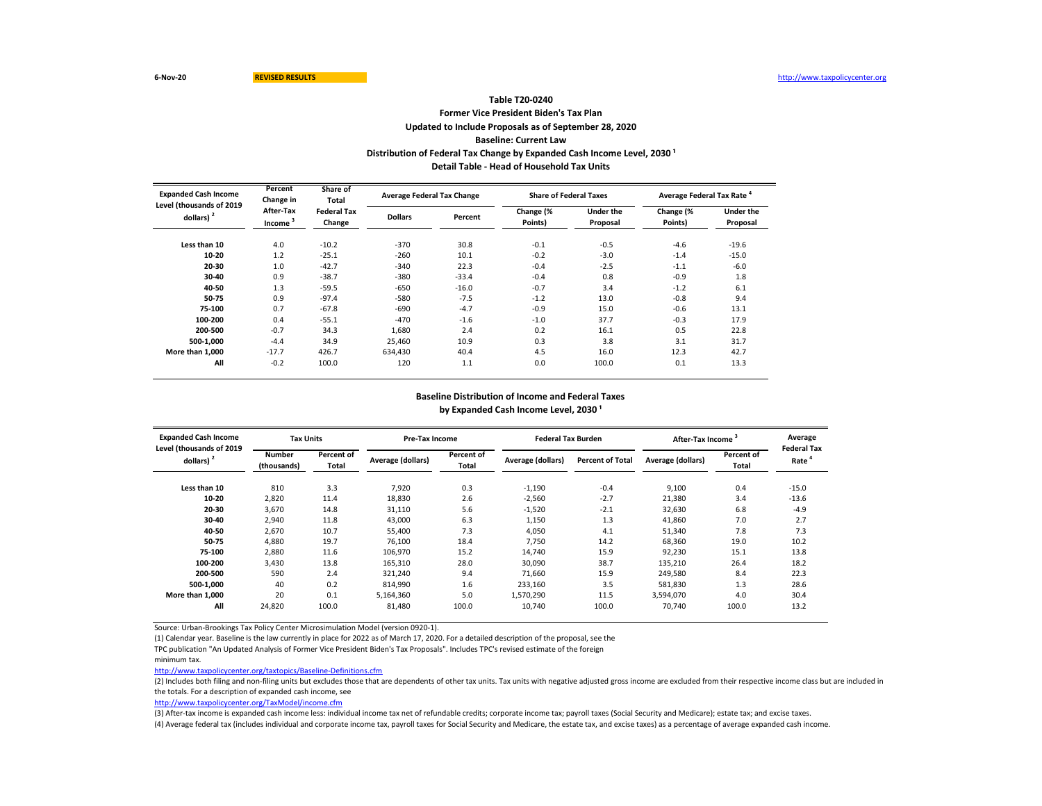#### **Former Vice President Biden's Tax Plan Updated to Include Proposals as of September 28, 2020 Baseline: Current Law Table T20-0240** Distribution of Federal Tax Change by Expanded Cash Income Level, 2030<sup>1</sup> **Detail Table - Head of Household Tax Units**

| <b>Expanded Cash Income</b><br>Level (thousands of 2019 | Percent<br>Change in             | Share of<br>Total            | <b>Average Federal Tax Change</b> |         | <b>Share of Federal Taxes</b> |                              | Average Federal Tax Rate <sup>4</sup> |                              |  |
|---------------------------------------------------------|----------------------------------|------------------------------|-----------------------------------|---------|-------------------------------|------------------------------|---------------------------------------|------------------------------|--|
| dollars) $2$                                            | After-Tax<br>Income <sup>3</sup> | <b>Federal Tax</b><br>Change | <b>Dollars</b>                    | Percent | Change (%<br>Points)          | <b>Under the</b><br>Proposal | Change (%<br>Points)                  | <b>Under the</b><br>Proposal |  |
| Less than 10                                            | 4.0                              | $-10.2$                      | $-370$                            | 30.8    | $-0.1$                        | $-0.5$                       | $-4.6$                                | $-19.6$                      |  |
| 10-20                                                   | 1.2                              | $-25.1$                      | $-260$                            | 10.1    | $-0.2$                        | $-3.0$                       | $-1.4$                                | $-15.0$                      |  |
| 20-30                                                   | 1.0                              | $-42.7$                      | $-340$                            | 22.3    | $-0.4$                        | $-2.5$                       | $-1.1$                                | $-6.0$                       |  |
| 30-40                                                   | 0.9                              | $-38.7$                      | $-380$                            | $-33.4$ | $-0.4$                        | 0.8                          | $-0.9$                                | 1.8                          |  |
| 40-50                                                   | 1.3                              | $-59.5$                      | $-650$                            | $-16.0$ | $-0.7$                        | 3.4                          | $-1.2$                                | 6.1                          |  |
| 50-75                                                   | 0.9                              | $-97.4$                      | $-580$                            | $-7.5$  | $-1.2$                        | 13.0                         | $-0.8$                                | 9.4                          |  |
| 75-100                                                  | 0.7                              | $-67.8$                      | $-690$                            | $-4.7$  | $-0.9$                        | 15.0                         | $-0.6$                                | 13.1                         |  |
| 100-200                                                 | 0.4                              | $-55.1$                      | $-470$                            | $-1.6$  | $-1.0$                        | 37.7                         | $-0.3$                                | 17.9                         |  |
| 200-500                                                 | $-0.7$                           | 34.3                         | 1.680                             | 2.4     | 0.2                           | 16.1                         | 0.5                                   | 22.8                         |  |
| 500-1.000                                               | $-4.4$                           | 34.9                         | 25,460                            | 10.9    | 0.3                           | 3.8                          | 3.1                                   | 31.7                         |  |
| More than 1,000                                         | $-17.7$                          | 426.7                        | 634,430                           | 40.4    | 4.5                           | 16.0                         | 12.3                                  | 42.7                         |  |
| All                                                     | $-0.2$                           | 100.0                        | 120                               | 1.1     | 0.0                           | 100.0                        | 0.1                                   | 13.3                         |  |

#### **Baseline Distribution of Income and Federal Taxes**

by Expanded Cash Income Level, 2030<sup>1</sup>

| <b>Expanded Cash Income</b><br>Level (thousands of 2019 | <b>Tax Units</b>             |                     | Pre-Tax Income    |                     | <b>Federal Tax Burden</b> |                         | <b>After-Tax Income</b> |                     | Average<br><b>Federal Tax</b> |
|---------------------------------------------------------|------------------------------|---------------------|-------------------|---------------------|---------------------------|-------------------------|-------------------------|---------------------|-------------------------------|
| dollars) <sup>2</sup>                                   | <b>Number</b><br>(thousands) | Percent of<br>Total | Average (dollars) | Percent of<br>Total | Average (dollars)         | <b>Percent of Total</b> | Average (dollars)       | Percent of<br>Total | Rate                          |
| Less than 10                                            | 810                          | 3.3                 | 7,920             | 0.3                 | $-1,190$                  | $-0.4$                  | 9,100                   | 0.4                 | $-15.0$                       |
| 10-20                                                   | 2,820                        | 11.4                | 18,830            | 2.6                 | $-2,560$                  | $-2.7$                  | 21,380                  | 3.4                 | $-13.6$                       |
| 20-30                                                   | 3.670                        | 14.8                | 31,110            | 5.6                 | $-1,520$                  | $-2.1$                  | 32.630                  | 6.8                 | $-4.9$                        |
| 30-40                                                   | 2,940                        | 11.8                | 43,000            | 6.3                 | 1,150                     | 1.3                     | 41,860                  | 7.0                 | 2.7                           |
| 40-50                                                   | 2,670                        | 10.7                | 55,400            | 7.3                 | 4,050                     | 4.1                     | 51,340                  | 7.8                 | 7.3                           |
| 50-75                                                   | 4,880                        | 19.7                | 76,100            | 18.4                | 7,750                     | 14.2                    | 68,360                  | 19.0                | 10.2                          |
| 75-100                                                  | 2,880                        | 11.6                | 106,970           | 15.2                | 14.740                    | 15.9                    | 92,230                  | 15.1                | 13.8                          |
| 100-200                                                 | 3.430                        | 13.8                | 165,310           | 28.0                | 30.090                    | 38.7                    | 135.210                 | 26.4                | 18.2                          |
| 200-500                                                 | 590                          | 2.4                 | 321,240           | 9.4                 | 71.660                    | 15.9                    | 249,580                 | 8.4                 | 22.3                          |
| 500-1.000                                               | 40                           | 0.2                 | 814,990           | 1.6                 | 233,160                   | 3.5                     | 581,830                 | 1.3                 | 28.6                          |
| More than 1.000                                         | 20                           | 0.1                 | 5,164,360         | 5.0                 | 1,570,290                 | 11.5                    | 3,594,070               | 4.0                 | 30.4                          |
| All                                                     | 24,820                       | 100.0               | 81,480            | 100.0               | 10.740                    | 100.0                   | 70.740                  | 100.0               | 13.2                          |

Source: Urban-Brookings Tax Policy Center Microsimulation Model (version 0920-1).

(1) Calendar year. Baseline is the law currently in place for 2022 as of March 17, 2020. For a detailed description of the proposal, see the

TPC publication "An Updated Analysis of Former Vice President Biden's Tax Proposals". Includes TPC's revised estimate of the foreign

minimum tax.

<http://www.taxpolicycenter.org/taxtopics/Baseline-Definitions.cfm>

(2) Includes both filing and non-filing units but excludes those that are dependents of other tax units. Tax units with negative adjusted gross income are excluded from their respective income class but are included in the totals. For a description of expanded cash income, see

[http://www.taxpolicycente](http://www.taxpolicycenter.org/TaxModel/income.cfm)r.org/TaxModel/income.cfm

(3) After-tax income is expanded cash income less: individual income tax net of refundable credits; corporate income tax; payroll taxes (Social Security and Medicare); estate tax; and excise taxes.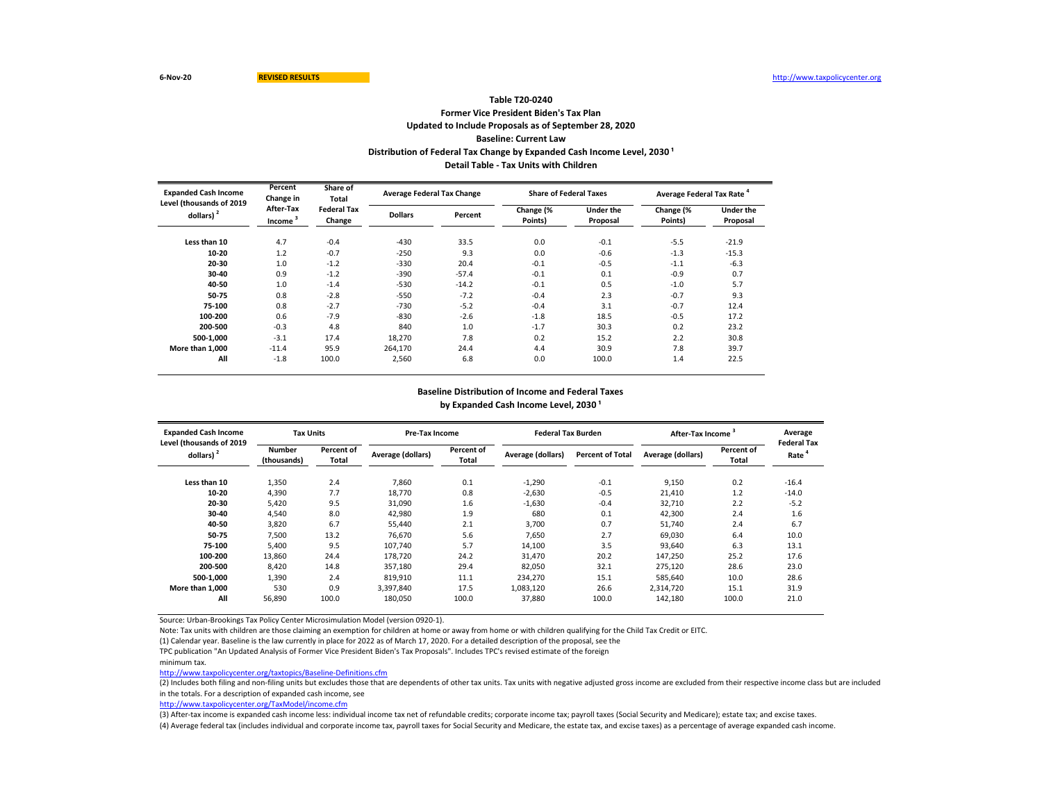## **Former Vice President Biden's Tax Plan Updated to Include Proposals as of September 28, 2020 Baseline: Current Law Table T20-0240 Distribution of Federal Tax Change by Expanded Cash Income Level, 2030<sup>1</sup> Detail Table - Tax Units with Children**

| <b>Expanded Cash Income</b> | Percent<br>Share of<br>Change in<br>Total<br>Level (thousands of 2019 |                              | <b>Average Federal Tax Change</b> |         | <b>Share of Federal Taxes</b> |                              | Average Federal Tax Rate <sup>4</sup> |                              |  |
|-----------------------------|-----------------------------------------------------------------------|------------------------------|-----------------------------------|---------|-------------------------------|------------------------------|---------------------------------------|------------------------------|--|
| dollars)                    | After-Tax<br>Income <sup>3</sup>                                      | <b>Federal Tax</b><br>Change | <b>Dollars</b>                    | Percent | Change (%<br>Points)          | <b>Under the</b><br>Proposal | Change (%<br>Points)                  | <b>Under the</b><br>Proposal |  |
| Less than 10                | 4.7                                                                   | $-0.4$                       | $-430$                            | 33.5    | 0.0                           | $-0.1$                       | $-5.5$                                | $-21.9$                      |  |
| 10-20                       | 1.2                                                                   | $-0.7$                       | $-250$                            | 9.3     | 0.0                           | $-0.6$                       | $-1.3$                                | $-15.3$                      |  |
| 20-30                       | 1.0                                                                   | $-1.2$                       | $-330$                            | 20.4    | $-0.1$                        | $-0.5$                       | $-1.1$                                | $-6.3$                       |  |
| 30-40                       | 0.9                                                                   | $-1.2$                       | $-390$                            | $-57.4$ | $-0.1$                        | 0.1                          | $-0.9$                                | 0.7                          |  |
| 40-50                       | 1.0                                                                   | $-1.4$                       | $-530$                            | $-14.2$ | $-0.1$                        | 0.5                          | $-1.0$                                | 5.7                          |  |
| 50-75                       | 0.8                                                                   | $-2.8$                       | $-550$                            | $-7.2$  | $-0.4$                        | 2.3                          | $-0.7$                                | 9.3                          |  |
| 75-100                      | 0.8                                                                   | $-2.7$                       | $-730$                            | $-5.2$  | $-0.4$                        | 3.1                          | $-0.7$                                | 12.4                         |  |
| 100-200                     | 0.6                                                                   | $-7.9$                       | $-830$                            | $-2.6$  | $-1.8$                        | 18.5                         | $-0.5$                                | 17.2                         |  |
| 200-500                     | $-0.3$                                                                | 4.8                          | 840                               | 1.0     | $-1.7$                        | 30.3                         | 0.2                                   | 23.2                         |  |
| 500-1,000                   | $-3.1$                                                                | 17.4                         | 18.270                            | 7.8     | 0.2                           | 15.2                         | 2.2                                   | 30.8                         |  |
| More than 1,000             | $-11.4$                                                               | 95.9                         | 264,170                           | 24.4    | 4.4                           | 30.9                         | 7.8                                   | 39.7                         |  |
| All                         | $-1.8$                                                                | 100.0                        | 2,560                             | 6.8     | 0.0                           | 100.0                        | 1.4                                   | 22.5                         |  |

#### **Baseline Distribution of Income and Federal Taxes**

by Expanded Cash Income Level, 2030<sup>1</sup>

| <b>Expanded Cash Income</b><br>Level (thousands of 2019 | <b>Tax Units</b>             |                     | <b>Pre-Tax Income</b> |                     | <b>Federal Tax Burden</b> |                         | After-Tax Income  |                     | Average<br><b>Federal Tax</b> |
|---------------------------------------------------------|------------------------------|---------------------|-----------------------|---------------------|---------------------------|-------------------------|-------------------|---------------------|-------------------------------|
| $d$ ollars) $2$                                         | <b>Number</b><br>(thousands) | Percent of<br>Total | Average (dollars)     | Percent of<br>Total | Average (dollars)         | <b>Percent of Total</b> | Average (dollars) | Percent of<br>Total | Rate                          |
| Less than 10                                            | 1,350                        | 2.4                 | 7.860                 | 0.1                 | $-1,290$                  | $-0.1$                  | 9,150             | 0.2                 | $-16.4$                       |
| 10-20                                                   | 4,390                        | 7.7                 | 18,770                | 0.8                 | $-2,630$                  | $-0.5$                  | 21,410            | 1.2                 | $-14.0$                       |
| 20-30                                                   | 5.420                        | 9.5                 | 31.090                | 1.6                 | $-1,630$                  | $-0.4$                  | 32.710            | 2.2                 | $-5.2$                        |
| 30-40                                                   | 4,540                        | 8.0                 | 42,980                | 1.9                 | 680                       | 0.1                     | 42,300            | 2.4                 | 1.6                           |
| 40-50                                                   | 3,820                        | 6.7                 | 55,440                | 2.1                 | 3,700                     | 0.7                     | 51,740            | 2.4                 | 6.7                           |
| 50-75                                                   | 7,500                        | 13.2                | 76,670                | 5.6                 | 7,650                     | 2.7                     | 69,030            | 6.4                 | 10.0                          |
| 75-100                                                  | 5,400                        | 9.5                 | 107.740               | 5.7                 | 14,100                    | 3.5                     | 93,640            | 6.3                 | 13.1                          |
| 100-200                                                 | 13,860                       | 24.4                | 178,720               | 24.2                | 31,470                    | 20.2                    | 147,250           | 25.2                | 17.6                          |
| 200-500                                                 | 8,420                        | 14.8                | 357.180               | 29.4                | 82,050                    | 32.1                    | 275,120           | 28.6                | 23.0                          |
| 500-1.000                                               | 1,390                        | 2.4                 | 819.910               | 11.1                | 234.270                   | 15.1                    | 585.640           | 10.0                | 28.6                          |
| More than 1.000                                         | 530                          | 0.9                 | 3.397.840             | 17.5                | 1.083.120                 | 26.6                    | 2,314,720         | 15.1                | 31.9                          |
| All                                                     | 56,890                       | 100.0               | 180,050               | 100.0               | 37,880                    | 100.0                   | 142,180           | 100.0               | 21.0                          |

Source: Urban-Brookings Tax Policy Center Microsimulation Model (version 0920-1).

Note: Tax units with children are those claiming an exemption for children at home or away from home or with children qualifying for the Child Tax Credit or EITC.

(1) Calendar year. Baseline is the law currently in place for 2022 as of March 17, 2020. For a detailed description of the proposal, see the

TPC publication "An Updated Analysis of Former Vice President Biden's Tax Proposals". Includes TPC's revised estimate of the foreign

minimum tax.

<http://www.taxpolicycenter.org/taxtopics/Baseline-Definitions.cfm>

(2) Includes both filing and non-filing units but excludes those that are dependents of other tax units. Tax units with negative adjusted gross income are excluded from their respective income class but are included in the totals. For a description of expanded cash income, see

[http://www.taxpolicycente](http://www.taxpolicycenter.org/TaxModel/income.cfm)r.org/TaxModel/income.cfm

(3) After-tax income is expanded cash income less: individual income tax net of refundable credits; corporate income tax; payroll taxes (Social Security and Medicare); estate tax; and excise taxes. (4) Average federal tax (includes individual and corporate income tax, payroll taxes for Social Security and Medicare, the estate tax, and excise taxes) as a percentage of average expanded cash income.